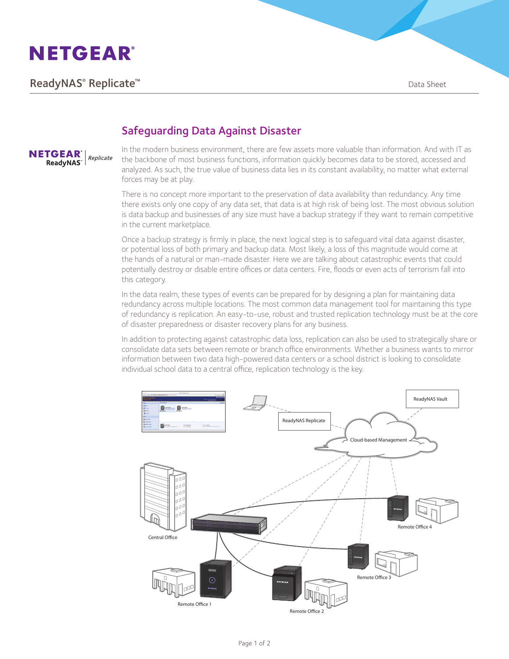

# **ReadyNAS® Replicate™** and the set of the set of the set of the set of the set of the set of the set of the set of the set of the set of the set of the set of the set of the set of the set of the set of the set of the set



## Safeguarding Data Against Disaster

In the modern business environment, there are few assets more valuable than information. And with IT as the backbone of most business functions, information quickly becomes data to be stored, accessed and analyzed. As such, the true value of business data lies in its constant availability, no matter what external forces may be at play.

There is no concept more important to the preservation of data availability than redundancy. Any time there exists only one copy of any data set, that data is at high risk of being lost. The most obvious solution is data backup and businesses of any size must have a backup strategy if they want to remain competitive in the current marketplace.

Once a backup strategy is firmly in place, the next logical step is to safeguard vital data against disaster, or potential loss of both primary and backup data. Most likely, a loss of this magnitude would come at the hands of a natural or man-made disaster. Here we are talking about catastrophic events that could potentially destroy or disable entire offices or data centers. Fire, floods or even acts of terrorism fall into this category.

In the data realm, these types of events can be prepared for by designing a plan for maintaining data redundancy across multiple locations. The most common data management tool for maintaining this type of redundancy is replication. An easy-to-use, robust and trusted replication technology must be at the core of disaster preparedness or disaster recovery plans for any business.

In addition to protecting against catastrophic data loss, replication can also be used to strategically share or consolidate data sets between remote or branch office environments. Whether a business wants to mirror information between two data high-powered data centers or a school district is looking to consolidate individual school data to a central office, replication technology is the key.